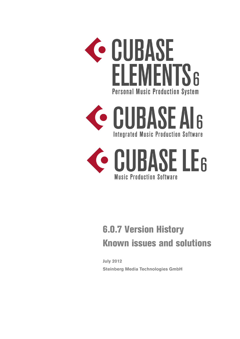





# 6.0.7 Version History Known issues and solutions

**July 2012 [Steinberg Media Technologies GmbH](http://www.steinberg.net/)**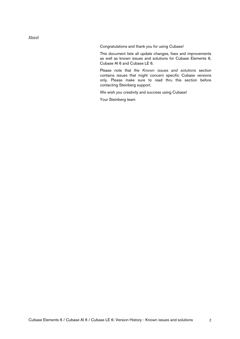About

Congratulations and thank you for using Cubase!

This document lists all update changes, fixes and improvements as well as known issues and solutions for Cubase Elements 6, Cubase AI 6 and Cubase LE 6.

Please note that the *Known issues and solutions* section contains issues that might concern specific Cubase versions only. Please make sure to read thru this section before contacting Steinberg support.

We wish you creativity and success using Cubase!

Your Steinberg team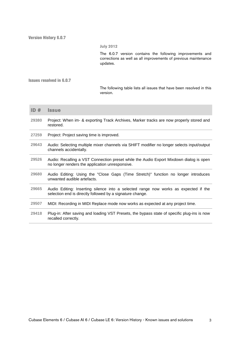## **July 2012**

The 6.0.7 version contains the following improvements and corrections as well as all improvements of previous maintenance updates.

Issues resolved in 6.0.7

The following table lists all issues that have been resolved in this version.

| ID#   | <b>Issue</b>                                                                                                                                     |
|-------|--------------------------------------------------------------------------------------------------------------------------------------------------|
| 29380 | Project: When im- & exporting Track Archives, Marker tracks are now properly stored and<br>restored.                                             |
| 27259 | Project: Project saving time is improved.                                                                                                        |
| 29643 | Audio: Selecting multiple mixer channels via SHIFT modifier no longer selects input/output<br>channels accidentally.                             |
| 29526 | Audio: Recalling a VST Connection preset while the Audio Export Mixdown dialog is open<br>no longer renders the application unresponsive.        |
| 29680 | Audio Editing: Using the "Close Gaps (Time Stretch)" function no longer introduces<br>unwanted audible artefacts.                                |
| 29665 | Audio Editing: Inserting silence into a selected range now works as expected if the<br>selection end is directly followed by a signature change. |
| 29507 | MIDI: Recording in MIDI Replace mode now works as expected at any project time.                                                                  |
| 29418 | Plug-in: After saving and loading VST Presets, the bypass state of specific plug-ins is now<br>recalled correctly.                               |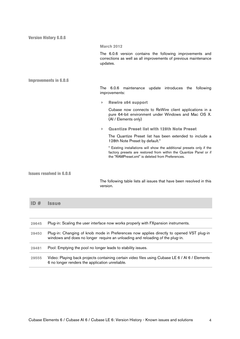Version History 6.0.6 **March 2012** The 6.0.6 version contains the following improvements and corrections as well as all improvements of previous maintenance updates. Improvements in 6.0.6 The 6.0.6 maintenance update introduces the following improvements: **Rewire x64 support**  Cubase now connects to ReWire client applications in a pure 64-bit environment under Windows and Mac OS X. (AI / Elements only) **Quantize Preset list with 128th Note Preset**  The Quantize Preset list has been extended to include a 128th Note Preset by default.\* \* Existing installations will show the additional presets only if the factory presets are restored from within the Quantize Panel or if the "RAMPreset.xml" is deleted from Preferences. Issues resolved in 6.0.6 The following table lists all issues that have been resolved in this version. **ID # Issue** 29645 Plug-in: Scaling the user interface now works properly with FXpansion instruments. 29450 Plug-in: Changing of knob mode in Preferences now applies directly to opened VST plug-in windows and does no longer require an unloading and reloading of the plug-in. 29481 Pool: Emptying the pool no longer leads to stability issues.

29555 Video: Playing back projects containing certain video files using Cubase LE 6 / AI 6 / Elements 6 no longer renders the application unreliable.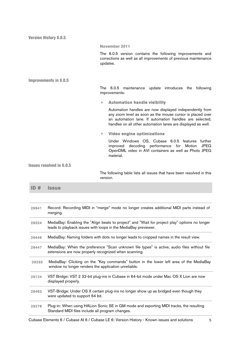Version History 6.0.5 **November 2011** The 6.0.5 version contains the following improvements and corrections as well as all improvements of previous maintenance updates. Improvements in 6.0.5 The 6.0.5 maintenance update introduces the following improvements: **Automation handle visibility**  Automation handles are now displayed independently from any zoom level as soon as the mouse cursor is placed over an automation lane. If automation handles are selected, handles on all other automation lanes are displayed as well. **Video engine optimizations**  Under Windows OS, Cubase 6.0.5 features further improved decoding performance for Motion JPEG OpenDML video in AVI containers as well as Photo JPEG material. Issues resolved in 6.0.5 The following table lists all issues that have been resolved in this version. **ID # Issue** 29941 Record: Recording MIDI in "merge" mode no longer creates additional MIDI parts instead of

|       | merging.                                                                                                                                                        |  |
|-------|-----------------------------------------------------------------------------------------------------------------------------------------------------------------|--|
| 29324 | MediaBay: Enabling the "Align beats to project" and "Wait for project play" options no longer<br>leads to playback issues with loops in the MediaBay previewer. |  |
| 29446 | MediaBay: Naming folders with dots no longer leads to cropped names in the result view.                                                                         |  |
| 29447 | MediaBay: When the preference "Scan unknown file types" is active, audio files without file<br>extensions are now properly recognized when scanning.            |  |
| 29233 | MediaBay: Clicking on the "Key commands" button in the lower left area of the MediaBay<br>window no longer renders the application unreliable.                  |  |
| 29124 | VST Bridge: VST 2 32-bit plug-ins in Cubase in 64-bit mode under Mac OS X Lion are now<br>displayed properly.                                                   |  |
| 29463 | VST-Bridge: Under OS X certain plug-ins no longer show up as bridged even though they<br>were updated to support 64 bit.                                        |  |
| 29278 | Plug-in: When using HALion Sonic SE in GM mode and exporting MIDI tracks, the resulting<br>Standard MIDI files include all program changes.                     |  |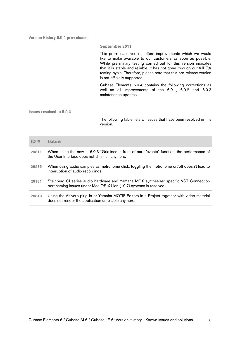Version History 6.0.4 pre-release

## **September 2011**

This pre-release version offers improvements which we would like to make available to our customers as soon as possible. While preliminary testing carried out for this version indicates that it is stable and reliable, it has not gone through our full QA testing cycle. Therefore, please note that this pre-release version is not officially supported.

Cubase Elements 6.0.4 contains the following corrections as well as all improvements of the 6.0.1, 6.0.2 and 6.0.3 maintenance updates.

Issues resolved in 6.0.4

The following table lists all issues that have been resolved in this version.

| ID#   | <b>Issue</b>                                                                                                                                                |  |
|-------|-------------------------------------------------------------------------------------------------------------------------------------------------------------|--|
| 29311 | When using the new-in-6.0.3 "Gridlines in front of parts/events" function, the performance of<br>the User Interface does not diminish anymore.              |  |
| 29235 | When using audio samples as metronome click, toggling the metronome on/off doesn't lead to<br>interruption of audio recordings.                             |  |
| 29181 | Steinberg CI series audio hardware and Yamaha MOX synthesizer specific VST Connection<br>port naming issues under Mac OS X Lion (10.7) systems is resolved. |  |
| 28849 | Using the Altiverb plug-in or Yamaha MOTIF Editors in a Project together with video material<br>does not render the application unreliable anymore.         |  |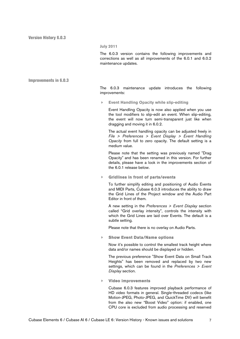#### **July 2011**

The 6.0.3 version contains the following improvements and corrections as well as all improvements of the 6.0.1 and 6.0.2 maintenance updates.

#### Improvements in 6.0.3

The 6.0.3 maintenance update introduces the following improvements:

**Event Handling Opacity while slip-editing**

Event Handling Opacity is now also applied when you use the tool modifiers to slip-edit an event. When slip-editing, the event will now turn semi-transparent just like when dragging and moving it in 6.0.2.

The actual event handling opacity can be adjusted freely in *File > Preferences > Event Display > Event Handling Opacity* from full to zero opacity. The default setting is a medium value.

Please note that the setting was previously named "Drag Opacity" and has been renamed in this version. For further details, please have a look in the improvements section of the 6.0.1 release below.

**Gridlines in front of parts/events** 

To further simplify editing and positioning of Audio Events and MIDI Parts, Cubase 6.0.3 introduces the ability to draw the Grid Lines of the Project window and the Audio Part Editor in front of them.

A new setting in the *Preferences > Event Display* section called "Grid overlay intensity", controls the intensity with which the Grid Lines are laid over Events. The default is a subtle setting.

Please note that there is no overlay on Audio Parts.

**Show Event Data/Name options** 

Now it's possible to control the smallest track height where data and/or names should be displayed or hidden.

The previous preference "Show Event Data on Small Track Heights" has been removed and replaced by two new settings, which can be found in the *Preferences > Event Display* section.

**Video improvements** 

Cubase 6.0.3 features improved playback performance of HD video formats in general. Single-threaded codecs (like Motion-JPEG, Photo-JPEG, and QuickTime DV) will benefit from the also new "Boost Video" option: if enabled, one CPU core is excluded from audio processing and reserved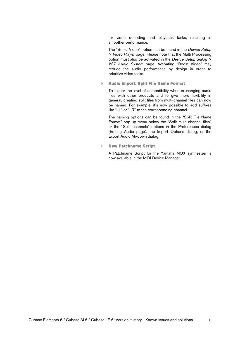for video decoding and playback tasks, resulting in smoother performance.

The "Boost Video" option can be found in the *Device Setup > Video Player* page. Please note that the Multi Processing option must also be activated in the *Device Setup dialog > VST Audio System* page. Activating "Boost Video" may reduce the audio performance by design in order to prioritize video tasks.

**Audio import: Split File Name Format** 

To higher the level of compatibility when exchanging audio files with other products and to give more flexibility in general, creating split files from multi-channel files can now be named. For example, it's now possible to add suffixes like " $L$ " or " $R$ " to the corresponding channel.

The naming options can be found in the "Split File Name Format" pop-up menu below the "Split multi-channel files" or the "Split channels" options in the Preferences dialog (Editing Audio page), the Import Options dialog, or the Export Audio Mixdown dialog.

**New Patchname Script** 

A Patchname Script for the Yamaha MOX synthesizer is now available in the MIDI Device Manager.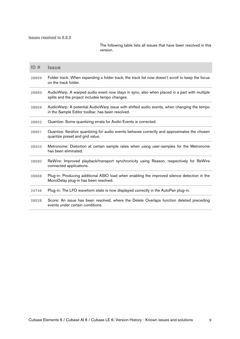Issues resolved in 6.0.3

The following table lists all issues that have been resolved in this version.

| ID#   | <b>Issue</b>                                                                                                                                  |  |
|-------|-----------------------------------------------------------------------------------------------------------------------------------------------|--|
| 28859 | Folder track: When expanding a folder track, the track list now doesn't scroll to keep the focus<br>on the track folder.                      |  |
| 28683 | AudioWarp: A warped audio event now stays in sync, also when placed in a part with multiple<br>splits and the project includes tempo changes. |  |
| 28659 | AudioWarp: A potential AudioWarp issue with shifted audio events, when changing the tempo<br>in the Sample Editor toolbar, has been resolved. |  |
| 28652 | Quantize: Some quantizing errata for Audio Events is corrected.                                                                               |  |
| 28651 | Quantize: Iterative quantizing for audio events behaves correctly and approximates the chosen<br>quantize preset and grid value.              |  |
| 28404 | Metronome: Distortion at certain sample rates when using user-samples for the Metronome<br>has been eliminated.                               |  |
| 28580 | ReWire: Improved playback/transport synchronicity using Reason, respectively for ReWire<br>connected applications.                            |  |
| 28668 | Plug-in: Producing additional ASIO load when enabling the improved silence detection in the<br>MonoDelay plug-in has been resolved.           |  |
| 24746 | Plug-in: The LFO waveform state is now displayed correctly in the AutoPan plug-in.                                                            |  |
| 28528 | Score: An issue has been resolved, where the Delete Overlaps function deleted preceding<br>events under certain conditions.                   |  |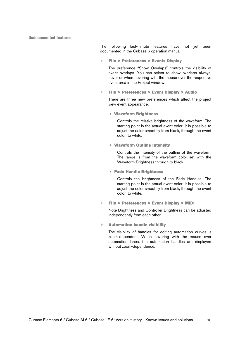# Undocumented features

The following last-minute features have not yet been documented in the Cubase 6 operation manual:

**File > Preferences > Events Display**

The preference "Show Overlaps" controls the visibility of event overlaps. You can select to show overlaps always, never or when hovering with the mouse over the respective event area in the Project window.

**File > Preferences > Event Display > Audio**

There are three new preferences which affect the project view event appearance.

**Waveform Brightness** 

Controls the relative brightness of the waveform. The starting point is the actual event color. It is possible to adjust the color smoothly from black, through the event color, to white.

**Waveform Outline Intensity** 

Controls the intensity of the outline of the waveform. The range is from the waveform color set with the Waveform Brightness through to black.

**Fade Handle Brightness** 

Controls the brightness of the Fade Handles. The starting point is the actual event color. It is possible to adjust the color smoothly from black, through the event color, to white.

**File > Preferences > Event Display > MIDI**

Note Brightness and Controller Brightness can be adjusted independently from each other.

**Automation handle visibility** 

The visibility of handles for editing automation curves is zoom-dependent. When hovering with the mouse over automation lanes, the automation handles are displayed without zoom-dependence.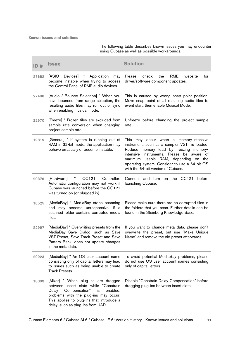Known issues and solutions

The following table describes known issues you may encounter using Cubase as well as possible workarounds.

| ID#   | <b>Issue</b>                                                                                                                                                                                                                                        | <b>Solution</b>                                                                                                                                                                                                                                                                                                |
|-------|-----------------------------------------------------------------------------------------------------------------------------------------------------------------------------------------------------------------------------------------------------|----------------------------------------------------------------------------------------------------------------------------------------------------------------------------------------------------------------------------------------------------------------------------------------------------------------|
| 27682 | Devices]<br>Application<br>[ASIO<br>$\star$<br>may<br>become instable when trying to access<br>the Control Panel of RME audio devices.                                                                                                              | Please<br><b>RME</b><br>website<br>check<br>the<br>for<br>driver/software component updates.                                                                                                                                                                                                                   |
| 27406 | [Audio / Bounce Selection] * When you<br>have bounced from range selection, the<br>resulting audio files may run out of sync<br>when enabling musical mode.                                                                                         | This is caused by wrong snap point position.<br>Move snap point of all resulting audio files to<br>event start, then enable Musical Mode.                                                                                                                                                                      |
| 22670 | [Freeze] * Frozen files are excluded from<br>sample rate conversion when changing<br>project sample rate.                                                                                                                                           | Unfreeze before changing the project sample<br>rate.                                                                                                                                                                                                                                                           |
| 19819 | [General] * If system is running out of<br>RAM in 32-bit mode, the application may<br>behave erratically or become instable."                                                                                                                       | This may occur when a memory-intensive<br>instrument, such as a sampler VSTi, is loaded.<br>Reduce memory load by freezing memory-<br>intensive instruments. Please be aware of<br>maximum usable RAM, depending on the<br>operating system. Consider to use a 64-bit OS<br>with the 64-bit version of Cubase. |
| 20376 | [Hardware]<br>CC121<br>Controller:<br>×<br>Automatic configuration may not work if<br>Cubase was launched before the CC121<br>was turned on (or plugged in).                                                                                        | Connect and turn on the CC121 before<br>launching Cubase.                                                                                                                                                                                                                                                      |
| 18525 | [MediaBay] * MediaBay stops scanning<br>and may become unresponsive, if a<br>scanned folder contains corrupted media<br>files.                                                                                                                      | Please make sure there are no corrupted files in<br>the folders that you scan. Further details can be<br>found in the Steinberg Knowledge Base.                                                                                                                                                                |
| 22997 | [MediaBay] * Overwriting presets from the<br>MediaBay Save Dialog, such as Save<br>VST Preset, Save Track Preset and Save<br>Pattern Bank, does not update changes<br>in the meta data.                                                             | If you want to change meta data, please don't<br>overwrite the preset, but use "Make Unique<br>Name" and remove the old preset afterwards.                                                                                                                                                                     |
| 20923 | [MediaBay] * An OS user account name<br>consisting only of capital letters may lead<br>to issues such as being unable to create<br><b>Track Presets.</b>                                                                                            | To avoid potential MediaBay problems, please<br>do not use OS user account names consisting<br>only of capital letters.                                                                                                                                                                                        |
| 18003 | [Mixer] * When plug-ins are dragged<br>between insert slots while "Constrain<br>Compensation"<br>enabled,<br>Delay<br>is<br>problems with the plug-ins may occur.<br>This applies to plug-ins that introduce a<br>delay, such as plug-ins from UAD. | Disable "Constrain Delay Compensation" before<br>dragging plug-ins between insert slots.                                                                                                                                                                                                                       |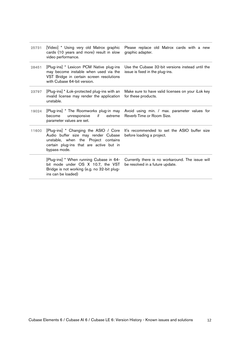| 25731 | [Video] * Using very old Matrox graphic<br>cards (10 years and more) result in slow<br>video performance.                                                                      | Please replace old Matrox cards with a new<br>graphic adapter.                      |
|-------|--------------------------------------------------------------------------------------------------------------------------------------------------------------------------------|-------------------------------------------------------------------------------------|
| 28451 | [Plug-ins] * Lexicon PCM Native plug-ins<br>may become instable when used via the<br>VST Bridge in certain screen resolutions<br>with Cubase 64-bit version.                   | Use the Cubase 32-bit versions instead until the<br>issue is fixed in the plug-ins. |
| 23797 | [Plug-ins] * iLok-protected plug-ins with an<br>invalid license may render the application<br>unstable.                                                                        | Make sure to have valid licenses on your iLok key<br>for these products.            |
| 19024 | [Plug-ins] * The Roomworks plug-in may<br>unresponsive<br>if<br>become<br>extreme<br>parameter values are set.                                                                 | Avoid using min. / max. parameter values for<br>Reverb Time or Room Size.           |
| 11600 | [Plug-ins] * Changing the ASIO / Core<br>Audio buffer size may render Cubase<br>unstable, when the Project contains<br>certain plug-ins that are active but in<br>bypass mode. | It's recommended to set the ASIO buffer size<br>before loading a project.           |
|       | [Plug-ins] * When running Cubase in 64-<br>bit mode under OS X 10.7, the VST<br>Bridge is not working (e.g. no 32-bit plug-<br>ins can be loaded)                              | Currently there is no workaround. The issue will<br>be resolved in a future update. |